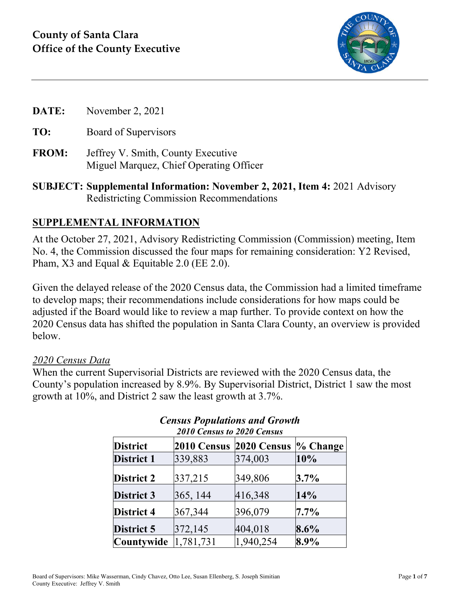

- **DATE:** November 2, 2021
- **TO:** Board of Supervisors
- **FROM:** Jeffrey V. Smith, County Executive Miguel Marquez, Chief Operating Officer
- **SUBJECT: Supplemental Information: November 2, 2021, Item 4:** 2021 Advisory Redistricting Commission Recommendations

### **SUPPLEMENTAL INFORMATION**

At the October 27, 2021, Advisory Redistricting Commission (Commission) meeting, Item No. 4, the Commission discussed the four maps for remaining consideration: Y2 Revised, Pham, X3 and Equal & Equitable 2.0 (EE 2.0).

Given the delayed release of the 2020 Census data, the Commission had a limited timeframe to develop maps; their recommendations include considerations for how maps could be adjusted if the Board would like to review a map further. To provide context on how the 2020 Census data has shifted the population in Santa Clara County, an overview is provided below.

#### *2020 Census Data*

When the current Supervisorial Districts are reviewed with the 2020 Census data, the County's population increased by 8.9%. By Supervisorial District, District 1 saw the most growth at 10%, and District 2 saw the least growth at 3.7%.

| <b>2010 Census to 2020 Census</b> |                                |           |             |  |
|-----------------------------------|--------------------------------|-----------|-------------|--|
| <b>District</b>                   | <b>2010 Census 2020 Census</b> |           | $\%$ Change |  |
| <b>District 1</b>                 | 339,883                        | 374,003   | 10%         |  |
| <b>District 2</b>                 | 337,215                        | 349,806   | $3.7\%$     |  |
| <b>District 3</b>                 | 365, 144                       | 416,348   | 14%         |  |
| District 4                        | 367,344                        | 396,079   | $7.7\%$     |  |
| District 5                        | 372,145                        | 404,018   | $8.6\%$     |  |
| Countywide                        | 1,781,731                      | 1,940,254 | 8.9%        |  |

# *Census Populations and Growth*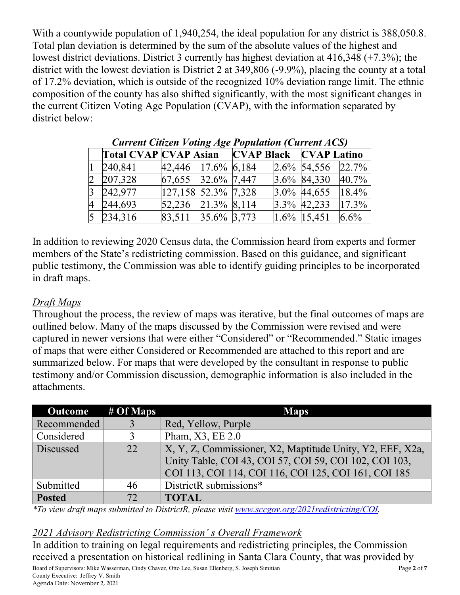With a countywide population of 1,940,254, the ideal population for any district is 388,050.8. Total plan deviation is determined by the sum of the absolute values of the highest and lowest district deviations. District 3 currently has highest deviation at 416,348 (+7.3%); the district with the lowest deviation is District 2 at 349,806 (-9.9%), placing the county at a total of 17.2% deviation, which is outside of the recognized 10% deviation range limit. The ethnic composition of the county has also shifted significantly, with the most significant changes in the current Citizen Voting Age Population (CVAP), with the information separated by district below:

| Current Chizen <i>Voung Age I oputation</i> (Current ACS) |                |                                                                                      |  |  |                |         |
|-----------------------------------------------------------|----------------|--------------------------------------------------------------------------------------|--|--|----------------|---------|
|                                                           |                |                                                                                      |  |  |                |         |
|                                                           | 240,841        | 42,446 17.6% 6,184                                                                   |  |  | 2.6% 54,556    | 22.7%   |
|                                                           | 2 207,328      | $\begin{array}{ c c c c c c c c } \hline 67,655 & 32.6\% & 7,447 \hline \end{array}$ |  |  | 3.6% 84,330    | 40.7%   |
|                                                           | $3\ \ 242,977$ | $ 127,158 52.3\% 7,328$                                                              |  |  | $3.0\%$ 44,655 | 18.4%   |
|                                                           | 4 244,693      | $ 52,236 \t   21.3\% \t   8,114 \t $                                                 |  |  | 3.3% 42,233    | 17.3%   |
|                                                           | $5\;234,316$   | 83,511 35.6% 3,773                                                                   |  |  | $1.6\%$ 15,451 | $6.6\%$ |

|  | <b>Current Citizen Voting Age Population (Current ACS)</b> |
|--|------------------------------------------------------------|
|  |                                                            |

In addition to reviewing 2020 Census data, the Commission heard from experts and former members of the State's redistricting commission. Based on this guidance, and significant public testimony, the Commission was able to identify guiding principles to be incorporated in draft maps.

#### *Draft Maps*

Throughout the process, the review of maps was iterative, but the final outcomes of maps are outlined below. Many of the maps discussed by the Commission were revised and were captured in newer versions that were either "Considered" or "Recommended." Static images of maps that were either Considered or Recommended are attached to this report and are summarized below. For maps that were developed by the consultant in response to public testimony and/or Commission discussion, demographic information is also included in the attachments.

| Outcome $\overline{\phantom{a}}$ # Of Maps |              | <b>Maps</b>                                               |
|--------------------------------------------|--------------|-----------------------------------------------------------|
| Recommended                                |              | Red, Yellow, Purple                                       |
| Considered                                 |              | Pham, X3, EE 2.0                                          |
| Discussed                                  | 22           | X, Y, Z, Commissioner, X2, Maptitude Unity, Y2, EEF, X2a, |
|                                            |              | Unity Table, COI 43, COI 57, COI 59, COI 102, COI 103,    |
|                                            |              | COI 113, COI 114, COI 116, COI 125, COI 161, COI 185      |
| Submitted                                  | 46           | DistrictR submissions*                                    |
| <b>Posted</b>                              | $72^{\circ}$ | <b>TOTAL</b>                                              |

*\*To view draft maps submitted to DistrictR, please visit [www.sccgov.org/2021redistricting/COI.](http://www.sccgov.org/2021redistricting/COI)*

#### *2021 Advisory Redistricting Commission' s Overall Framework*

Board of Supervisors: Mike Wasserman, Cindy Chavez, Otto Lee, Susan Ellenberg, S. Joseph Simitian Page **2** of **7** County Executive: Jeffrey V. Smith Agenda Date: November 2, 2021 In addition to training on legal requirements and redistricting principles, the Commission received a presentation on historical redlining in Santa Clara County, that was provided by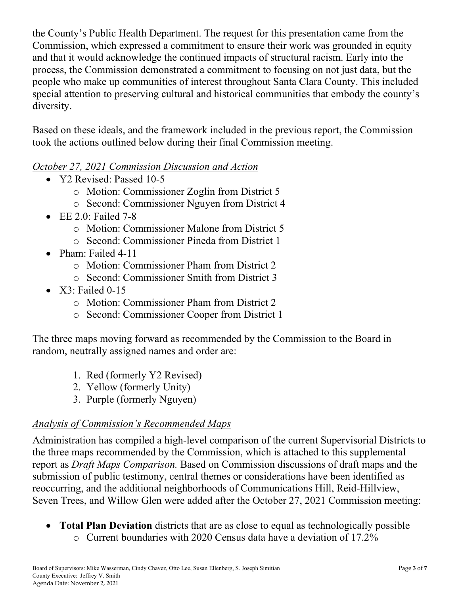the County's Public Health Department. The request for this presentation came from the Commission, which expressed a commitment to ensure their work was grounded in equity and that it would acknowledge the continued impacts of structural racism. Early into the process, the Commission demonstrated a commitment to focusing on not just data, but the people who make up communities of interest throughout Santa Clara County. This included special attention to preserving cultural and historical communities that embody the county's diversity.

Based on these ideals, and the framework included in the previous report, the Commission took the actions outlined below during their final Commission meeting.

#### *October 27, 2021 Commission Discussion and Action*

- Y2 Revised: Passed 10-5
	- o Motion: Commissioner Zoglin from District 5
	- o Second: Commissioner Nguyen from District 4
- EE 2.0: Failed 7-8
	- o Motion: Commissioner Malone from District 5
	- o Second: Commissioner Pineda from District 1
- Pham: Failed 4-11
	- o Motion: Commissioner Pham from District 2
	- o Second: Commissioner Smith from District 3
- $X3:$  Failed 0-15
	- o Motion: Commissioner Pham from District 2
	- o Second: Commissioner Cooper from District 1

The three maps moving forward as recommended by the Commission to the Board in random, neutrally assigned names and order are:

- 1. Red (formerly Y2 Revised)
- 2. Yellow (formerly Unity)
- 3. Purple (formerly Nguyen)

### *Analysis of Commission's Recommended Maps*

Administration has compiled a high-level comparison of the current Supervisorial Districts to the three maps recommended by the Commission, which is attached to this supplemental report as *Draft Maps Comparison.* Based on Commission discussions of draft maps and the submission of public testimony, central themes or considerations have been identified as reoccurring, and the additional neighborhoods of Communications Hill, Reid-Hillview, Seven Trees, and Willow Glen were added after the October 27, 2021 Commission meeting:

• **Total Plan Deviation** districts that are as close to equal as technologically possible o Current boundaries with 2020 Census data have a deviation of 17.2%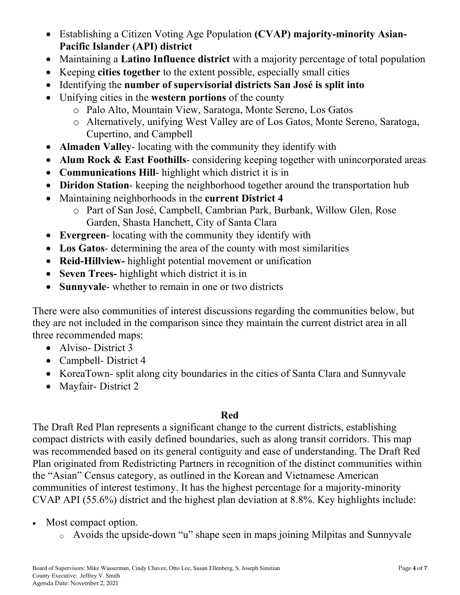- Establishing a Citizen Voting Age Population **(CVAP) majority-minority Asian-Pacific Islander (API) district**
- Maintaining a **Latino Influence district** with a majority percentage of total population
- Keeping **cities together** to the extent possible, especially small cities
- Identifying the **number of supervisorial districts San José is split into**
- Unifying cities in the **western portions** of the county
	- o Palo Alto, Mountain View, Saratoga, Monte Sereno, Los Gatos
	- o Alternatively, unifying West Valley are of Los Gatos, Monte Sereno, Saratoga, Cupertino, and Campbell
- **Almaden Valley** locating with the community they identify with
- **Alum Rock & East Foothills**-considering keeping together with unincorporated areas
- **Communications Hill** highlight which district it is in
- **Diridon Station** keeping the neighborhood together around the transportation hub
- Maintaining neighborhoods in the **current District 4**
	- o Part of San José, Campbell, Cambrian Park, Burbank, Willow Glen, Rose Garden, Shasta Hanchett, City of Santa Clara
- **Evergreen** locating with the community they identify with
- **Los Gatos** determining the area of the county with most similarities
- **Reid-Hillview-** highlight potential movement or unification
- **Seven Trees-** highlight which district it is in
- **Sunnyvale** whether to remain in one or two districts

There were also communities of interest discussions regarding the communities below, but they are not included in the comparison since they maintain the current district area in all three recommended maps:

- Alviso-District 3
- Campbell- District 4
- KoreaTown- split along city boundaries in the cities of Santa Clara and Sunnyvale
- Mayfair-District 2

## **Red**

The Draft Red Plan represents a significant change to the current districts, establishing compact districts with easily defined boundaries, such as along transit corridors. This map was recommended based on its general contiguity and ease of understanding. The Draft Red Plan originated from Redistricting Partners in recognition of the distinct communities within the "Asian" Census category, as outlined in the Korean and Vietnamese American communities of interest testimony. It has the highest percentage for a majority-minority CVAP API (55.6%) district and the highest plan deviation at 8.8%. Key highlights include:

- Most compact option.
	- <sup>o</sup> Avoids the upside-down "u" shape seen in maps joining Milpitas and Sunnyvale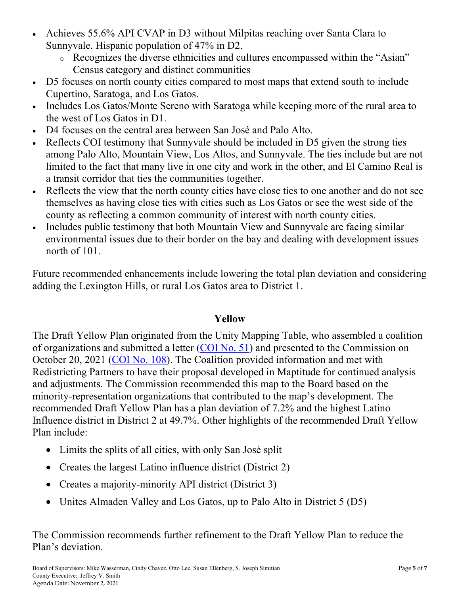- Achieves 55.6% API CVAP in D3 without Milpitas reaching over Santa Clara to Sunnyvale. Hispanic population of 47% in D2.
	- <sup>o</sup> Recognizes the diverse ethnicities and cultures encompassed within the "Asian" Census category and distinct communities
- D5 focuses on north county cities compared to most maps that extend south to include Cupertino, Saratoga, and Los Gatos.
- Includes Los Gatos/Monte Sereno with Saratoga while keeping more of the rural area to the west of Los Gatos in D1.
- D4 focuses on the central area between San José and Palo Alto.
- Reflects COI testimony that Sunnyvale should be included in D5 given the strong ties among Palo Alto, Mountain View, Los Altos, and Sunnyvale. The ties include but are not limited to the fact that many live in one city and work in the other, and El Camino Real is a transit corridor that ties the communities together.
- Reflects the view that the north county cities have close ties to one another and do not see themselves as having close ties with cities such as Los Gatos or see the west side of the county as reflecting a common community of interest with north county cities.
- Includes public testimony that both Mountain View and Sunnyvale are facing similar environmental issues due to their border on the bay and dealing with development issues north of 101.

Future recommended enhancements include lowering the total plan deviation and considering adding the Lexington Hills, or rural Los Gatos area to District 1.

#### **Yellow**

The Draft Yellow Plan originated from the Unity Mapping Table, who assembled a coalition of organizations and submitted a letter [\(COI No. 51\)](https://countyexec.sccgov.org/sites/g/files/exjcpb621/files/2021-10/51%20Public%20Comment%20Unity%20Mapping%20Table.pdf) and presented to the Commission on October 20, 2021 [\(COI No. 108\)](https://countyexec.sccgov.org/sites/g/files/exjcpb621/files/2021-10/108%20Presentation%20Unity%20Mapping%20Table.pdf). The Coalition provided information and met with Redistricting Partners to have their proposal developed in Maptitude for continued analysis and adjustments. The Commission recommended this map to the Board based on the minority-representation organizations that contributed to the map's development. The recommended Draft Yellow Plan has a plan deviation of 7.2% and the highest Latino Influence district in District 2 at 49.7%. Other highlights of the recommended Draft Yellow Plan include:

- Limits the splits of all cities, with only San José split
- Creates the largest Latino influence district (District 2)
- Creates a majority-minority API district (District 3)
- Unites Almaden Valley and Los Gatos, up to Palo Alto in District 5 (D5)

The Commission recommends further refinement to the Draft Yellow Plan to reduce the Plan's deviation.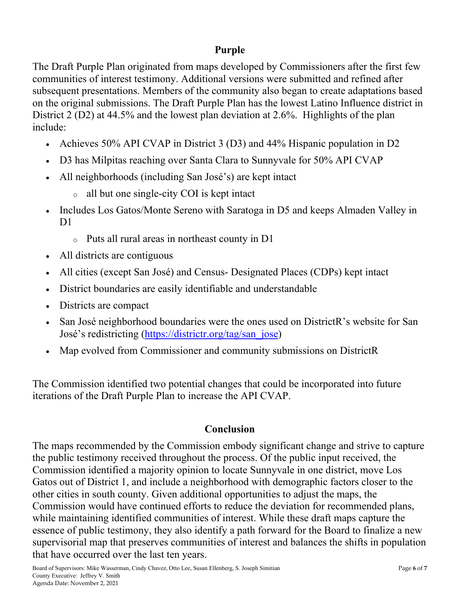### **Purple**

The Draft Purple Plan originated from maps developed by Commissioners after the first few communities of interest testimony. Additional versions were submitted and refined after subsequent presentations. Members of the community also began to create adaptations based on the original submissions. The Draft Purple Plan has the lowest Latino Influence district in District 2 (D2) at 44.5% and the lowest plan deviation at 2.6%. Highlights of the plan include:

- Achieves 50% API CVAP in District 3 (D3) and 44% Hispanic population in D2
- D3 has Milpitas reaching over Santa Clara to Sunnyvale for 50% API CVAP
- All neighborhoods (including San José's) are kept intact
	- <sup>o</sup> all but one single-city COI is kept intact
- Includes Los Gatos/Monte Sereno with Saratoga in D5 and keeps Almaden Valley in D<sub>1</sub>
	- <sup>o</sup> Puts all rural areas in northeast county in D1
- All districts are contiguous
- All cities (except San José) and Census- Designated Places (CDPs) kept intact
- District boundaries are easily identifiable and understandable
- Districts are compact
- San José neighborhood boundaries were the ones used on DistrictR's website for San José's redistricting [\(https://districtr.org/tag/san\\_jose\)](https://districtr.org/tag/san_jose)
- Map evolved from Commissioner and community submissions on DistrictR

The Commission identified two potential changes that could be incorporated into future iterations of the Draft Purple Plan to increase the API CVAP.

## **Conclusion**

The maps recommended by the Commission embody significant change and strive to capture the public testimony received throughout the process. Of the public input received, the Commission identified a majority opinion to locate Sunnyvale in one district, move Los Gatos out of District 1, and include a neighborhood with demographic factors closer to the other cities in south county. Given additional opportunities to adjust the maps, the Commission would have continued efforts to reduce the deviation for recommended plans, while maintaining identified communities of interest. While these draft maps capture the essence of public testimony, they also identify a path forward for the Board to finalize a new supervisorial map that preserves communities of interest and balances the shifts in population that have occurred over the last ten years.